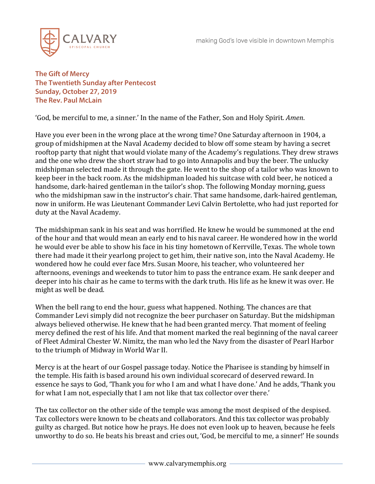

**The Gift of Mercy The Twentieth Sunday after Pentecost Sunday, October 27, 2019 The Rev. Paul McLain**

'God, be merciful to me, a sinner.' In the name of the Father, Son and Holy Spirit. *Amen*.

Have you ever been in the wrong place at the wrong time? One Saturday afternoon in 1904, a group of midshipmen at the Naval Academy decided to blow off some steam by having a secret rooftop party that night that would violate many of the Academy's regulations. They drew straws and the one who drew the short straw had to go into Annapolis and buy the beer. The unlucky midshipman selected made it through the gate. He went to the shop of a tailor who was known to keep beer in the back room. As the midshipman loaded his suitcase with cold beer, he noticed a handsome, dark-haired gentleman in the tailor's shop. The following Monday morning, guess who the midshipman saw in the instructor's chair. That same handsome, dark-haired gentleman, now in uniform. He was Lieutenant Commander Levi Calvin Bertolette, who had just reported for duty at the Naval Academy.

The midshipman sank in his seat and was horrified. He knew he would be summoned at the end of the hour and that would mean an early end to his naval career. He wondered how in the world he would ever be able to show his face in his tiny hometown of Kerrville, Texas. The whole town there had made it their yearlong project to get him, their native son, into the Naval Academy. He wondered how he could ever face Mrs. Susan Moore, his teacher, who volunteered her afternoons, evenings and weekends to tutor him to pass the entrance exam. He sank deeper and deeper into his chair as he came to terms with the dark truth. His life as he knew it was over. He might as well be dead.

When the bell rang to end the hour, guess what happened. Nothing. The chances are that Commander Levi simply did not recognize the beer purchaser on Saturday. But the midshipman always believed otherwise. He knew that he had been granted mercy. That moment of feeling mercy defined the rest of his life. And that moment marked the real beginning of the naval career of Fleet Admiral Chester W. Nimitz, the man who led the Navy from the disaster of Pearl Harbor to the triumph of Midway in World War II.

Mercy is at the heart of our Gospel passage today. Notice the Pharisee is standing by himself in the temple. His faith is based around his own individual scorecard of deserved reward. In essence he says to God, 'Thank you for who I am and what I have done.' And he adds, 'Thank you for what I am not, especially that I am not like that tax collector over there.'

The tax collector on the other side of the temple was among the most despised of the despised. Tax collectors were known to be cheats and collaborators. And this tax collector was probably guilty as charged. But notice how he prays. He does not even look up to heaven, because he feels unworthy to do so. He beats his breast and cries out, 'God, be merciful to me, a sinner!' He sounds